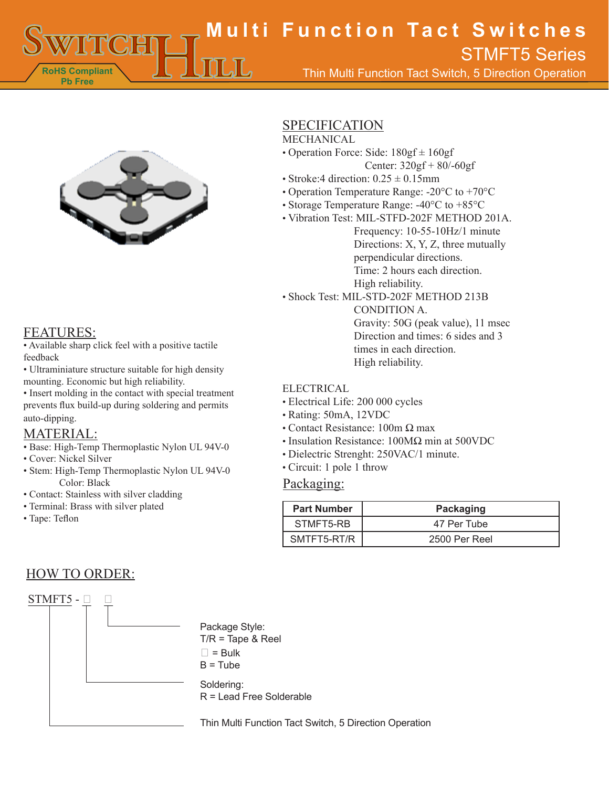**RoHS Compliant Pb Free Multi Function Tact Switches** Thin Multi Function Tact Switch, 5 Direction Operation STMFT5 Series



### FEATURES:

• Available sharp click feel with a positive tactile feedback

• Ultraminiature structure suitable for high density mounting. Economic but high reliability.

• Insert molding in the contact with special treatment prevents flux build-up during soldering and permits auto-dipping.

### MATERIAL:

- Base: High-Temp Thermoplastic Nylon UL 94V-0
- Cover: Nickel Silver
- Stem: High-Temp Thermoplastic Nylon UL 94V-0 Color: Black
- Contact: Stainless with silver cladding
- Terminal: Brass with silver plated
- Tape: Teflon

# HOW TO ORDER:



## SPECIFICATION

#### MECHANICAL

- Operation Force: Side:  $180gf \pm 160gf$ 
	- Center: 320gf + 80/-60gf
- Stroke:4 direction:  $0.25 \pm 0.15$ mm
- Operation Temperature Range: -20°C to +70°C
- Storage Temperature Range: -40°C to +85°C
- Vibration Test: MIL-STFD-202F METHOD 201A.

Frequency: 10-55-10Hz/1 minute Directions: X, Y, Z, three mutually perpendicular directions. Time: 2 hours each direction. High reliability.

• Shock Test: MIL-STD-202F METHOD 213B

CONDITION A. Gravity: 50G (peak value), 11 msec Direction and times: 6 sides and 3 times in each direction. High reliability.

#### **ELECTRICAL**

- Electrical Life: 200 000 cycles
- Rating: 50mA, 12VDC
- Contact Resistance:  $100m \Omega$  max
- Insulation Resistance: 100MΩ min at 500VDC
- Dielectric Strenght: 250VAC/1 minute.
- Circuit: 1 pole 1 throw

#### Packaging:

| <b>Part Number</b> | Packaging     |
|--------------------|---------------|
| STMFT5-RB          | 47 Per Tube   |
| SMTFT5-RT/R        | 2500 Per Reel |

Thin Multi Function Tact Switch, 5 Direction Operation